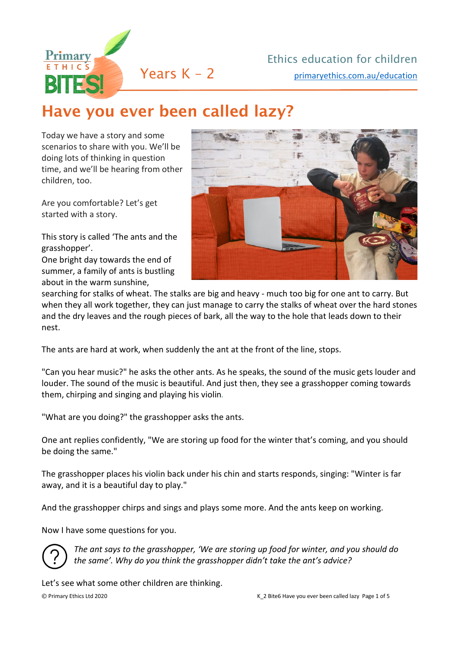

## Have you ever been called lazy?

Today we have a story and some scenarios to share with you. We'll be doing lots of thinking in question time, and we'll be hearing from other children, too.

Are you comfortable? Let's get started with a story.

This story is called 'The ants and the grasshopper'.

One bright day towards the end of summer, a family of ants is bustling about in the warm sunshine,



searching for stalks of wheat. The stalks are big and heavy - much too big for one ant to carry. But when they all work together, they can just manage to carry the stalks of wheat over the hard stones and the dry leaves and the rough pieces of bark, all the way to the hole that leads down to their nest.

The ants are hard at work, when suddenly the ant at the front of the line, stops.

"Can you hear music?" he asks the other ants. As he speaks, the sound of the music gets louder and louder. The sound of the music is beautiful. And just then, they see a grasshopper coming towards them, chirping and singing and playing his violin*.*

"What are you doing?" the grasshopper asks the ants.

One ant replies confidently, "We are storing up food for the winter that's coming, and you should be doing the same."

The grasshopper places his violin back under his chin and starts responds, singing: "Winter is far away, and it is a beautiful day to play."

And the grasshopper chirps and sings and plays some more. And the ants keep on working.

Now I have some questions for you.



*The ant says to the grasshopper, 'We are storing up food for winter, and you should do the same'. Why do you think the grasshopper didn't take the ant's advice?*

Let's see what some other children are thinking.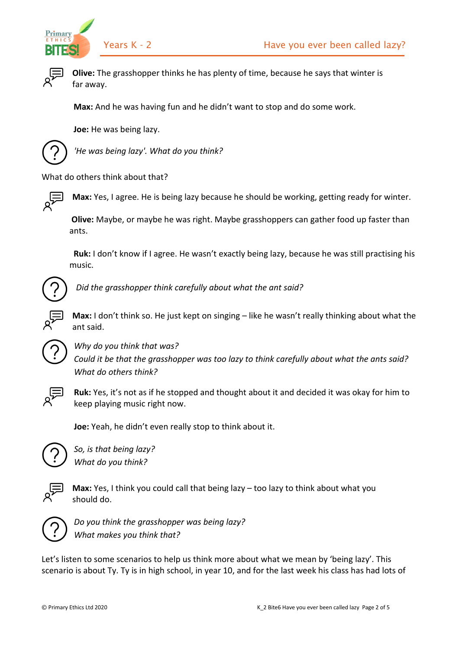



**Olive:** The grasshopper thinks he has plenty of time, because he says that winter is far away.

 **Max:** And he was having fun and he didn't want to stop and do some work.

 **Joe:** He was being lazy.



*'He was being lazy'. What do you think?*

What do others think about that?



**Max:** Yes, I agree. He is being lazy because he should be working, getting ready for winter.

**Olive:** Maybe, or maybe he was right. Maybe grasshoppers can gather food up faster than ants.

 **Ruk:** I don't know if I agree. He wasn't exactly being lazy, because he was still practising his music.



*Did the grasshopper think carefully about what the ant said?*

**Max:** I don't think so. He just kept on singing – like he wasn't really thinking about what the ant said.



*Why do you think that was? Could it be that the grasshopper was too lazy to think carefully about what the ants said? What do others think?*



**Ruk:** Yes, it's not as if he stopped and thought about it and decided it was okay for him to keep playing music right now.

**Joe:** Yeah, he didn't even really stop to think about it.



*So, is that being lazy? What do you think?*



**Max:** Yes, I think you could call that being lazy – too lazy to think about what you should do.



*Do you think the grasshopper was being lazy? What makes you think that?*

Let's listen to some scenarios to help us think more about what we mean by 'being lazy'. This scenario is about Ty. Ty is in high school, in year 10, and for the last week his class has had lots of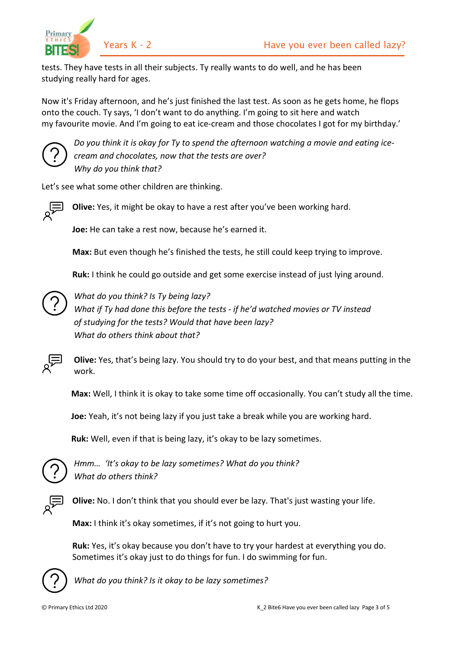

tests. They have tests in all their subjects. Ty really wants to do well, and he has been studying really hard for ages.

Now it's Friday afternoon, and he's just finished the last test. As soon as he gets home, he flops onto the couch. Ty says, 'I don't want to do anything. I'm going to sit here and watch my favourite movie. And I'm going to eat ice-cream and those chocolates I got for my birthday.'



*Do you think it is okay for Ty to spend the afternoon watching a movie and eating icecream and chocolates, now that the tests are over? Why do you think that?*

Let's see what some other children are thinking.



**Olive:** Yes, it might be okay to have a rest after you've been working hard.

**Joe:** He can take a rest now, because he's earned it.

**Max:** But even though he's finished the tests, he still could keep trying to improve.

**Ruk:** I think he could go outside and get some exercise instead of just lying around.



*What do you think? Is Ty being lazy? What if Ty had done this before the tests - if he'd watched movies or TV instead of studying for the tests? Would that have been lazy? What do others think about that?*



**Olive:** Yes, that's being lazy. You should try to do your best, and that means putting in the work.

**Max:** Well, I think it is okay to take some time off occasionally. You can't study all the time.

**Joe:** Yeah, it's not being lazy if you just take a break while you are working hard.

**Ruk:** Well, even if that is being lazy, it's okay to be lazy sometimes.



*Hmm… 'It's okay to be lazy sometimes? What do you think? What do others think?*



**Olive:** No. I don't think that you should ever be lazy. That's just wasting your life.

**Max:** I think it's okay sometimes, if it's not going to hurt you.

**Ruk:** Yes, it's okay because you don't have to try your hardest at everything you do. Sometimes it's okay just to do things for fun. I do swimming for fun.



*What do you think? Is it okay to be lazy sometimes?*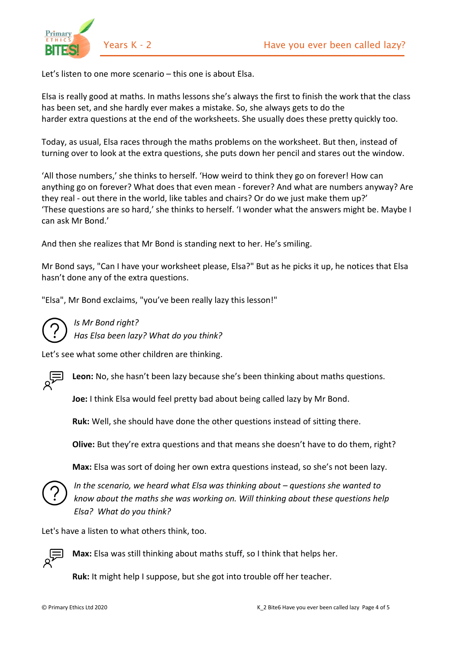

Let's listen to one more scenario – this one is about Elsa.

Elsa is really good at maths. In maths lessons she's always the first to finish the work that the class has been set, and she hardly ever makes a mistake. So, she always gets to do the harder extra questions at the end of the worksheets. She usually does these pretty quickly too.

Today, as usual, Elsa races through the maths problems on the worksheet. But then, instead of turning over to look at the extra questions, she puts down her pencil and stares out the window.

'All those numbers,' she thinks to herself. 'How weird to think they go on forever! How can anything go on forever? What does that even mean - forever? And what are numbers anyway? Are they real - out there in the world, like tables and chairs? Or do we just make them up?' 'These questions are so hard,' she thinks to herself. 'I wonder what the answers might be. Maybe I can ask Mr Bond.'

And then she realizes that Mr Bond is standing next to her. He's smiling.

Mr Bond says, "Can I have your worksheet please, Elsa?" But as he picks it up, he notices that Elsa hasn't done any of the extra questions.

"Elsa", Mr Bond exclaims, "you've been really lazy this lesson!"



## *Is Mr Bond right?*

*Has Elsa been lazy? What do you think?*

Let's see what some other children are thinking.



**Leon:** No, she hasn't been lazy because she's been thinking about maths questions.

**Joe:** I think Elsa would feel pretty bad about being called lazy by Mr Bond.

**Ruk:** Well, she should have done the other questions instead of sitting there.

**Olive:** But they're extra questions and that means she doesn't have to do them, right?

**Max:** Elsa was sort of doing her own extra questions instead, so she's not been lazy.



*In the scenario, we heard what Elsa was thinking about – questions she wanted to know about the maths she was working on. Will thinking about these questions help Elsa? What do you think?*

Let's have a listen to what others think, too.



**Max:** Elsa was still thinking about maths stuff, so I think that helps her.

**Ruk:** It might help I suppose, but she got into trouble off her teacher.